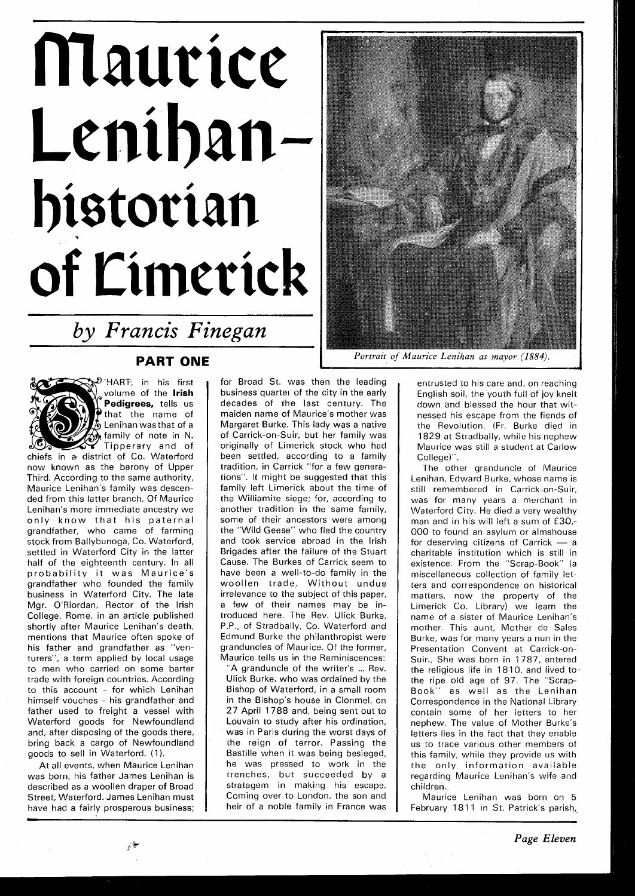## Maurice Lenihan historian of Limerick

*by Francis Finegan* 

## **PART ONE**



'HART: in his first volume of the **lrish Pedigrees,** tells us that the name of  $\not\!\!J$  Lenihan was that of a  $\omega$  family of note in N. Tipperary and of chiefs in a district of Co. Waterford

now known as the barony of Upper Third. According to the same authority, Maurice Lenihan's family was descended from this latter branch. Of Maurice Lenihan's more immediate ancestry we only know that his paternal grandfather, who came of farming stock from Ballybunoga, Co. Waterford, settled in Waterford City in the latter half of the eighteenth century. In all probability it was Maurice's grandfather who founded the family business in Waterford City. The late Mgr. O'Riordan, Rector of the lrish College, Rome, in an article published shortly after Maurice Lenihan's death, mentions that Maurice often spoke of his father and grandfather as "venturers", a term applied by local usage to men who carried on some barter trade with foreign countries. According to this account - for which Lenihan himself vouches - his grandfather and father used to freight a vessel with Waterford goods for Newfoundland and, after disposing of the goods there, bring back a cargo of Newfoundland goods to sell in Waterford. (1).

At all events, when Maurice Lenihan was born, his father James Lenihan is described as a woollen draper of Broad Street, Waterford. James Lenihan must have had a fairly prosperous business;

for Broad St. was then the leading business quarter of the city in the early decades of the last century. The maiden name of Maurice's mother was Margaret Burke. This lady was a native of Carrick-on-Suir, but her family was originally of Limerick stock who had been settled, accordinq to a family tradition, in Carrick "for a few qenerations". It might be suggested that this family left Limerick about the time of the Williamite siege: for, accordinq to another tradition in the same family, some of their ancestors were among the "Wild Geese" who fled the country and took service abroad in the lrish Brigades after the failure of the Stuart Cause. The Burkes of Carrick seem to have been a well-to-do family in the woollen trade. Without undue irrelevance to the subject of this paper, a few of their names may be introduced here. The Rev. Ulick Burke, P.P., of Stradbally, Co. Waterford and Edmund Burke the philanthropist were granduncles of Maurice. Of the former, Maurice tells us in the Reminiscences:

"A granduncle of the writer's ... Rev. Ulick Burke, who was ordained by the Bishop of Waterford, in a small room in the Bishop's house in Clonmel, on 27 April 1788 and, beinq sent out to Louvain to study after his ordination, was in Paris during the worst days of the reign of terror. Passinq the Bastille when it was beinq besieqed, he was pressed to work in the trenches, but succeeded by a stratagem in making his escape. Coming over to London, the son and heir of a noble family in France was



*Portrait of Maurice Lenihan as mayor (1884).* 

entrusted to his care and, on reaching English soil, the youth full of joy knelt down and blessed the hour that witnessed his escape from the fiends of the Revolution. (Fr. Burke died in 1829 at Stradbally, while his nephew Maurice was still a student at Carlow College)".

The other granduncle of Maurice Lenihan, Edward Burke, whose name is still remembered in Carrick-on-Suir, was for many years a merchant in Waterford City. He died a very wealthy man and in his will left a sum of £30,-000 to found an asylum or almshouse man and in his will left a sum of  $E30$ ,-<br>000 to found an asylum or almshouse<br>for deserving citizens of Carrick - a<br>charitable institution which is still in charitable institution which is still in existence. From the "Scrap-Book" (a miscellaneous collection of family letters and correspondence on historical matters, now the property of the Limerick Co. Library) we learn the name of a sister of Maurice Lenihan's mother. This aunt, Mother de Sales Burke, was for many years a nun in the Presentation Convent at Carrick-on-Suir., She was born in 1787, entered the religious life in 1810, and lived tothe ripe old age of 97. The "Scrap-Book" as well as the Lenihan Correspondence in the National Library contain some of her letters to her nephew. The value of Mother Burke's letters lies in the fact that they enable us to trace various other members of this family, while they provide us with the only information available regarding Maurice Lenihan's wife and children.

Maurice Lenihan was born on 5 February 1811 in St. Patrick's parish,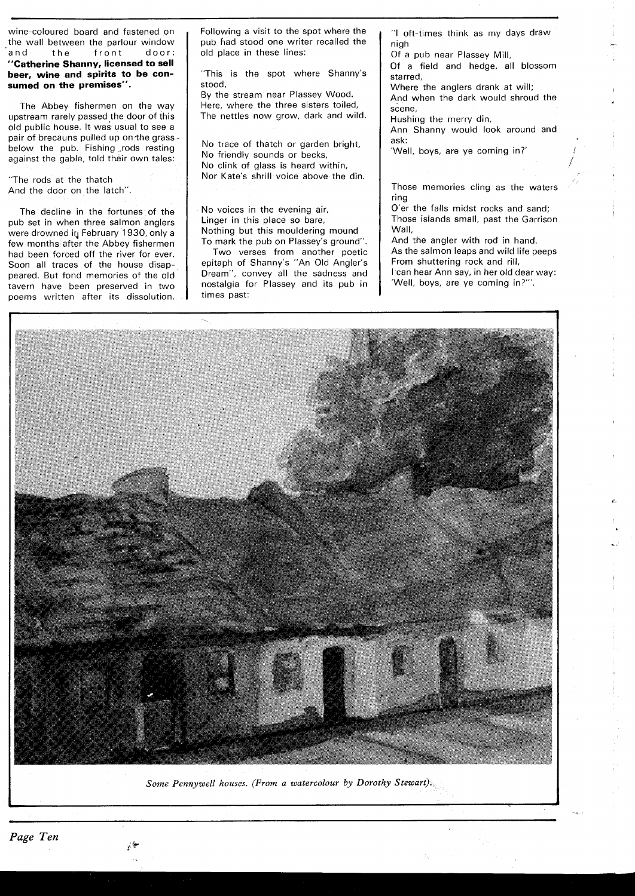wine-coloured board and fastened on the wall between the parlour window and the front door: **"Catherine Shanny, licensed to sell beer, wine and spirits to be consumed on the premises".** 

The Abbey fishermen on the way upstream rarely passed the door of this old public house. It was usual to see a pair of brecauns pulled up on the grassbelow the pub. Fishing rods resting against the gable, told their own tales:

"The rods at the thatch And the door on the latch".

The decline in the fortunes of the pub set in when three salmon anglers were drowned in February 1930, only a few months after the Abbey fishermen had been forced off the river for ever. Soon all traces of the house disappeared. But fond memories of the old tavern have been preserved in two poems written after its dissolution.

Following a visit to the spot where the pub had stood one writer recalled the old place in these lines:

"This is the spot where Shanny's stood,

By the stream near Plassey Wood. Here, where the three sisters toiled, The nettles now grow, dark and wild.

No trace of thatch or garden bright, No friendly sounds or becks, No clink of glass is heard within, Nor Kate's shrill voice above the din.

No voices in the evening air, Linger in this place so bare, Nothing but this mouldering mound To mark the pub on Plassey's ground".

Two verses from another poetic epitaph of Shanny's "An Old Angler's Dream", convey all the sadness and nostalgia for Plassey and its pub in | 'Well, boys, are ye coming in?"". times past:

"I oft-times think as my days draw nigh

Of a pub near Plassey Mill,

Of a field and hedge, all blossom starred,

Where the anglers drank at will;

And when the dark would shroud the scene,

Hushing the merry din, Ann Shanny would look around and

ask: 'Well, boys, are ye coming in?'

Those memories cling as the waters ring

O'er the falls midst rocks and sand; Those islands small, past the Garrison Wall,

And the angler with rod in hand. As the salmon leaps and wild life peeps From shuttering rock and rill, I can hear Ann say, in her old dear way:



*Some Pennywell houses. (From a watercolour by Dorothy Stewart).* 

\$. k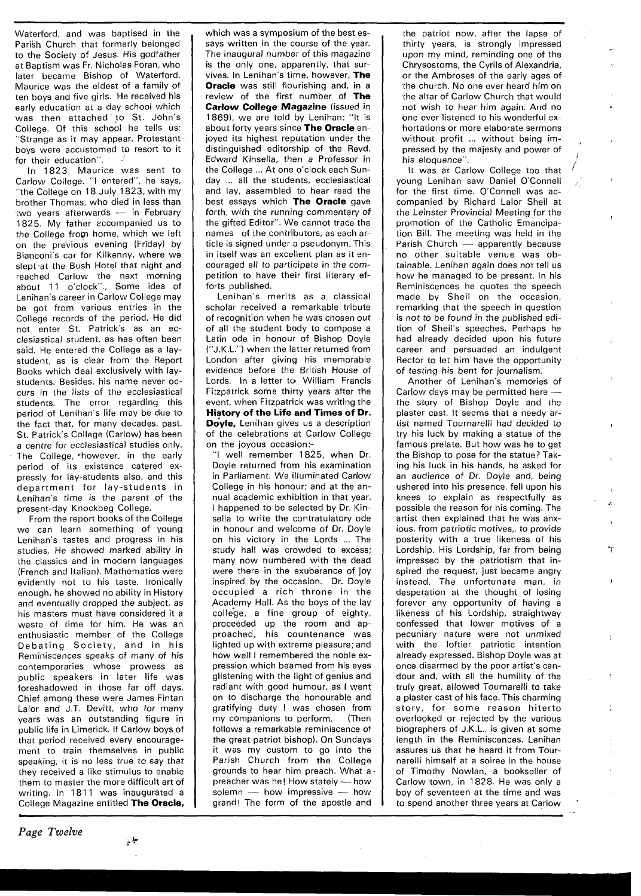Waterford, and was baptised in the Parish Church that formerly belonged to the Society of Jesus. His godfather at Baptism was Fr. Nicholas Foran, who later became Bishop of Waterford. Maurice was the eldest of a family of ten boys and five girls. He received his early education at a day school which was then attached to St. John's College. Of this school he tells us: "Strange as it may appear, Protestant boys were accustomed to resort to it for their education".

In 1823, Maurice was sent to Carlow College. "I entered", he says, "the College on 18 July 1823, with my brother Thomas, who died in less than two years afterwards - in February 1825. My father eccompanied us to the College from home, which we left on the previous evening (Friday) by Bianconi's car for Kilkenny, where we slept at the Bush Hotel that night and reached Carlow the next morning about 11 o'clock"., Some idea of Lenihan's career in Carlow College may be got from various entries in the College records of the period. He did not enter St. Patrick's as an ecclesiastical student, as has often been said. He entered the College as a laystudent, as is clear from the Report Books which deal exclusively with laystudents. Besides, his name never occurs in the lists of the ecclesiastical students. The error regarding this period of Lenihan's life may be due to the fact that, for many decades, past, St. Patrick's College (Carlow) has been a centre for ecclesiastical studies only. The College, \*however, in the early period of its existence catered expressly for lay-students also, and this department for lay-students in Lenihan's time is the parent of the present-day Knockbeg College.

From the report books of the College we can learn something of young Lenihan's tastes and progress in his studies. He showed marked ability in the classics and in modern languages (French and Italian). Mathematics were evidently not to his taste. Ironically enough, he showed no ability in History and eventually dropped the subject, as his masters must have considered it a waste of time for him. He was an enthusiastic member of the College Debating Society, and in his Reminiscences speaks of many of his contemporaries whose prowess as public speakers in later life was foreshadowed in those far off days. Chief among these were James Fintan Lalor and J.T. Devitt, who for many years was an outstanding figure in public life in Limerick. If Carlow boys of that period received every encouragement to train themselves in public speaking, it is no less true to say that they received a like stimulus to enable them to master the more difficult art of writing. In 1811 was inaugurated a College Magazine entitled **The Oracle,**  ,

\$

which was a symposium of the best essays written in the course of the year. The inaugural number of this magazine is the only one, apparently, that survives. In Lenihan's time, however, **The Oracle** was still flourishinq and, in a review of the first number of **The Carlow College Magazine** (issued in 1869), we are told by Lenihan: "It is about forty years since **The Oracle** enjoved its highest reputation under the distinguished editorship of the Revd. Edward Kinsella, then a Professor in the College ... At one o'clock each Sunday ... all the students, ecclesiastical and lay, assembled to hear read the best essays which **The Oracle** gave forth, with the running commentary of the gifted Editor". We cannot trace the names of the contributors, as each article is signed under a pseudonym. This in itself was an excellent plan as it encouraged all to participate in the competition to have their first literary efforts published.

Lenihan's merits as a classical scholar received a remarkable tribute of recognition when he was chosen out of all the student body to compose a Latin ode in honour of Bishop Doyle ("J.K.L.") when the latter returned from London after giving his memorable evidence before the British House of Lords. In a letter to William Francis Fitzpatrick some thirty years after the event, when Fitzpatrick was writinq the **History of the Life and Times of Dr. Doyle,** Lenihan gives us a description of the celebrations at Carlow College on the joyous occasion:-

"I well remember 1825, when Dr. Doyle returned from his examination in Parliament. We illuminated Carlow College in his honour; and at the annual academic exhibition in that year, I happened to be selected by Dr. Kinsella to write the contratulatory ode in honour and welcome of Dr. Doyle on his victory in the Lords ... The study hall was crowded to excess; many now numbered with the dead were there in the exuberance of joy inspired by the occasion. Dr. Doyle occupied a rich throne in the Academy Hall. As the boys of the lay college, a fine group of eighty, proceeded up the room and approached, his countenance was lighted up with extreme pleasure; and how well I remembered the noble expression which beamed from his eyes glistening with the light of genius and radiant with good humour, as I went on to discharge the honourable and gratifying duty I was chosen from my companions to perform. (Then follows a remarkable reminiscence of the great patriot bishop). On Sundays it was my custom to go into the Parish Church from the College<br>grounds to hear him preach. What a<br>preacher was he! How stately — how<br>pelame how impressive grounds to hear him preach. What a<br>preacher was he! How stately — how<br>solemn — how impressive — how<br>graped. The ferm of the graph and grand! The form of the apostle and

the patriot now, after the lapse of thirty years, is strongly impressed upon my mind, reminding one of the Chrysostoms, the Cyrils of Alexandria, or the Ambroses of the early aqes of the church. No one ever heard him on the altar of Carlow Church that would not wish to hear him again. And no one ever listened to his wonderful exhortations or more elaborate sermons without profit ... without being impressed by the majesty and power of his eloquence".

It was at Carlow Colleqe too that young Lenihan saw Daniel O'Connell for the first time. O'Connell was accompanied by Richard Lalor Sheil at the Leinster Provincial Meetinq for the promotion of the Catholic Emancipation Bill. The meeting was held in the Parish Church - apparently because no other suitable venue was obtainable. Lenihan again does not tell us how he managed to be present. In his Reminiscences he quotes the speech made by Sheil on the occasion, remarking that the speech in question is not to be found in the published edition of Sheil's speeches. Perhaps he had already decided upon his future career and persuaded an indulgent Rector to let him have the opportunity of testing his bent for journalism.

Another of Lenihan's memories of Carlow days may be permitted here ---<br>the story of Bishop Doyle and the plaster cast. It seems that a needy artist named Tournarelli had decided to try his luck by making a statue of the famous prelate. But how was he to get the Bishop to pose for the statue? Taking his luck in his hands, he asked for an audience of Dr. Doyle and, being ushered into his presence, fell upon his knees to explain as respectfully as possible the reason for his coming. The artist then explained that he was anxious, from patriotic motives,. to provide posterity with a true likeness of his Lordship. His Lordship, far from being impressed by the patriotism that inspired the request, just became angry instead. The unfortunate man, in desperation at the thought of losing forever any opportunity of having a likeness of his Lordship, straightway confessed that lower motives of a pecuniary nature were not unmixed with the loftier patriotic intention already expressed. Bishop Doyle was at once disarmed by the poor artist's candour and, with all the humility of the truly great, allowed Tournarelli to take a plaster cast of his face. This charming story, for some reason hiterto overlooked or rejected by the various biographers of J.K.L., is qiven at some length in the Reminiscences. Lenihan assures us that he heard it from Tournarelli himself at a soiree in the house of Timothy Nowlan, a bookseller of Carlow town, in 1828. He was only a boy of seventeen at the time and was to spend another three years at Carlow '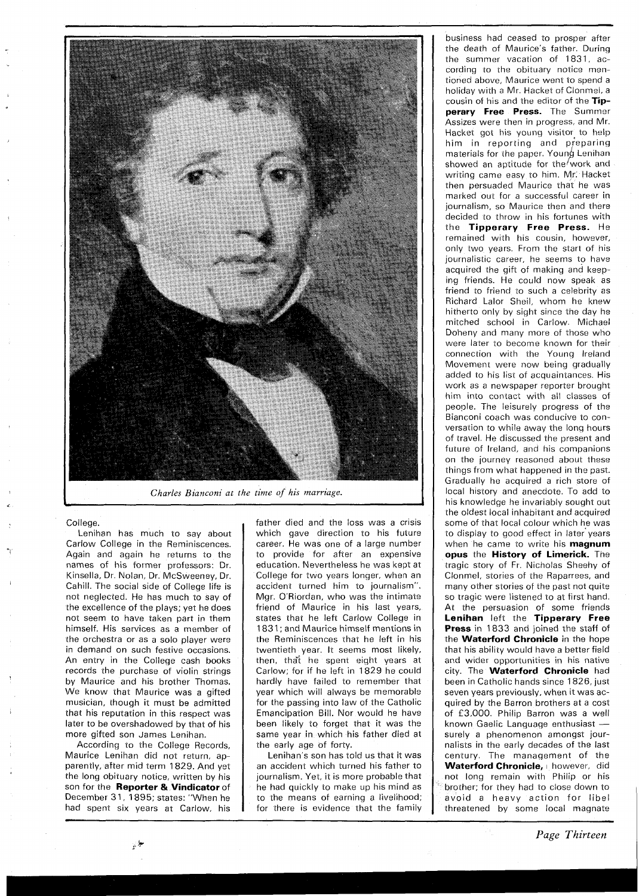

*Charles Bianconi at the time of his marriage.* 

## College.

Lenihan has much to say about Carlow College in the Reminiscences. Again and again he returns to the names of his former professors: Dr. Kinsella, Dr. Nolan, Dr. McSweeney, Dr. Cahill. The social side of Colleqe life is not neglected. He has much to say of the excellence of the plays; yet he does not seem to have taken part in them himself. His services as a member of the orchestra or as a solo player were in demand on such festive occasions. An entry in the Colleqe cash books records the purchase of violin strings by Maurice and his brother Thomas. We know that Maurice was a gifted musician, though it must be admitted that his reputation in this respect was later to be overshadowed by that of his more gifted son James Lenihan.

According to the Colleqe Records, Maurice Lenihan did not return, apparently, after mid term 1829. And yet the long obituary notice, written by his son for the **Reporter** & **Vindicator** of December 31, 1895; states: "When he had spent six years at Carlow, his

father died and the loss was a crisis which gave direction to his future career. He was one of a larqe number to provide for afrer an expensive education. Nevertheless he was kept at College for two years lonqer, when an accident turned him to journalism". Mgr. O'Riordan, who was the intimate friend of Maurice in his last years, states that he left Carlow Colleqe in 1831; and Maurice himself mentions in the Reminiscences rhat he left in his twentieth year. It seems most likely, then, that he spent eight years at Carlow; for if he left in 1829 he could hardly have failed to remember that year which will always be memorable for the passing into law of the Catholic Emancipation Bill. Nor would he have been likely to forget that it was the same year in which his father died at the early age of forty.

Lenihan's son has told us that it was an accident which rurned his father to journalism. Yet, it is more probable that he had quickly to make up his mind as to the means of earninq a livelihood; for there is evidence that the family

business had ceased to prosper after the death of Maurice's father. During the summer vacation of 1831, according to the obituary notice mentioned above, Maurice went to spend a holiday with a Mr. Hacket of Clonmel, a cousin of his and the editor of the **Tipperary Free Press.** The Summer Assizes were then in progress, and Mr. Hacket got his young visitor to help him in reporting and p;eparing materials for the paper. Young Lenihan showed an aptitude for the work and writing came easy to him. Mr. Hacket then persuaded Maurice that he was marked out for a successful career in journalism, so Maurice then and there decided to throw in his fortunes with the **Tipperary Free Press.** He remained with his cousin, however, only two years. From the start of his journalistic career, he seems to have acquired the gift of making and keeping friends. He could now speak as friend to friend to such a celebrity as Richard Lalor Sheil, whom he knew hitherto only by sight since the day he mitched school in Carlow. Michael Doheny and many more of those who were later to become known for their connection with the Young Ireland Movement were now being gradually added to his list of acquaintances. His work as a newspaper reporter brought him into contact with all classes of people. The leisurely progress of the Bianconi coach was conducive to conversation to while away the long hours of travel. He discussed the present and future of Ireland, and his companions on the journey reasoned about these things from what happened in the past. Gradually he acquired a rich store of local history and anecdote. To add to his knowledge he invariably sought out the oldest local inhabitant and acquired some of that local colour which he was to display to good effect in later years when he came to write his **magnum opus** the **History of Limerick.** The tragic story of Fr. Nicholas Sheehy of Clonmel, stories of the Raparrees, and many other stories of the past not quite so tragic were listened to at first hand. At the persuasion of some friends **Lenihan** left the **Tipperary Free Press** in 1833 and joined the staff of the **Waterford Chronicle** in the hope that his ability would have a better field and wider opportunities in his native city. The **Waterford Chronicle** had been in Catholic hands since 1826, just seven years previously, when it was acquired by the Barron brothers at a cost<br>of £3,000. Philip Barron was a well<br>known Gaelic Language enthusiast —<br>surely a phonomenon amongst jourof £3,000. Philip Barron was a well surely a phenomenon amongst journalists in the early decades of the last century. The management of the Waterford Chronicle, **I however**, did not long remain with Philip or his brother; for they had to close down to avoid a heavy action for libel threatened by some local magnate